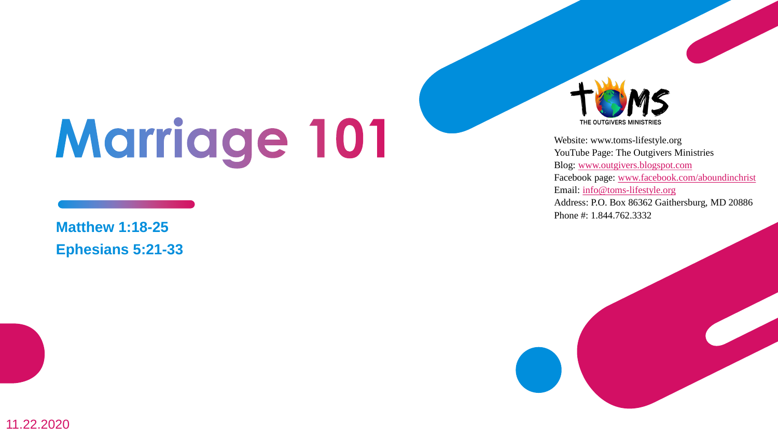# Marriage 101

**Matthew 1:18-25 Ephesians 5:21-33** THE OUTGIVERS MIN

Website: www.toms-lifestyle.org YouTube Page: The Outgivers Ministries Blog: [www.outgivers.blogspot.com](http://www.outgivers.blogspot.com/) Facebook page: [www.facebook.com/aboundinchrist](http://www.facebook.com/aboundinchrist) Email: [info@toms-lifestyle.org](mailto:info@toms-lifestyle.org) Address: P.O. Box 86362 Gaithersburg, MD 20886 Phone #: 1.844.762.3332



11.22.2020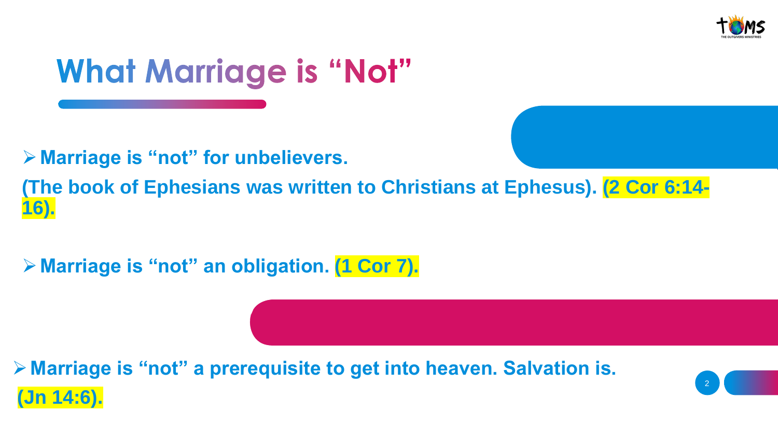

➢ **Marriage is "not" for unbelievers.** 

**(The book of Ephesians was written to Christians at Ephesus). (2 Cor 6:14- 16).**

➢ **Marriage is "not" an obligation. (1 Cor 7).**

➢ **Marriage is "not" a prerequisite to get into heaven. Salvation is. (Jn 14:6).**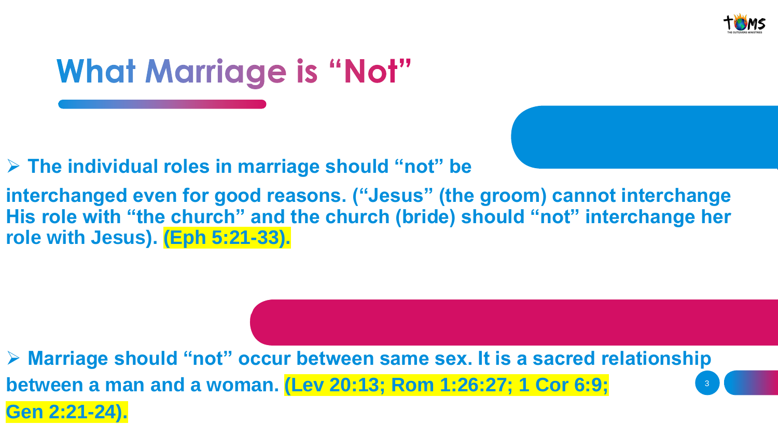

➢ **The individual roles in marriage should "not" be** 

**interchanged even for good reasons. ("Jesus" (the groom) cannot interchange His role with "the church" and the church (bride) should "not" interchange her role with Jesus). (Eph 5:21-33).**

3 ➢ **Marriage should "not" occur between same sex. It is a sacred relationship between a man and a woman. (Lev 20:13; Rom 1:26:27; 1 Cor 6:9; Gen 2:21-24).**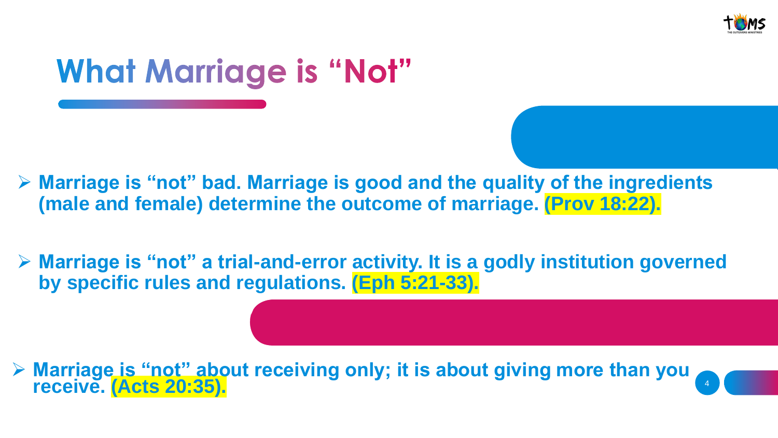

- ➢ **Marriage is "not" bad. Marriage is good and the quality of the ingredients (male and female) determine the outcome of marriage. (Prov 18:22).**
- ➢ **Marriage is "not" a trial-and-error activity. It is a godly institution governed by specific rules and regulations. (Eph 5:21-33).**

4 ➢ **Marriage is "not" about receiving only; it is about giving more than you receive. (Acts 20:35).**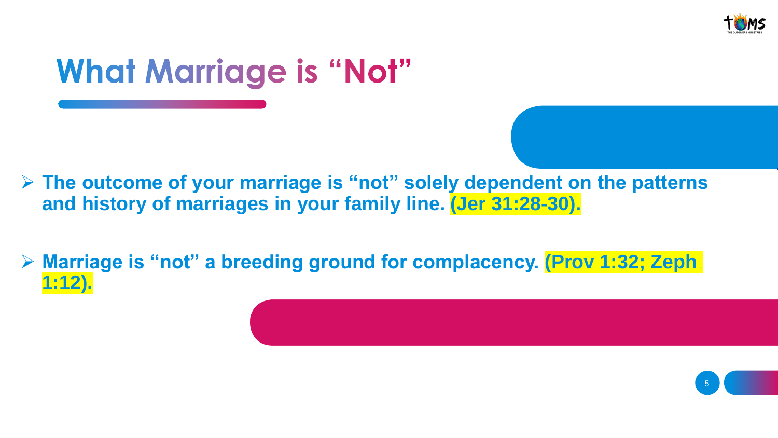

- ➢ **The outcome of your marriage is "not" solely dependent on the patterns and history of marriages in your family line. (Jer 31:28-30).**
- ➢ **Marriage is "not" a breeding ground for complacency. (Prov 1:32; Zeph 1:12).**

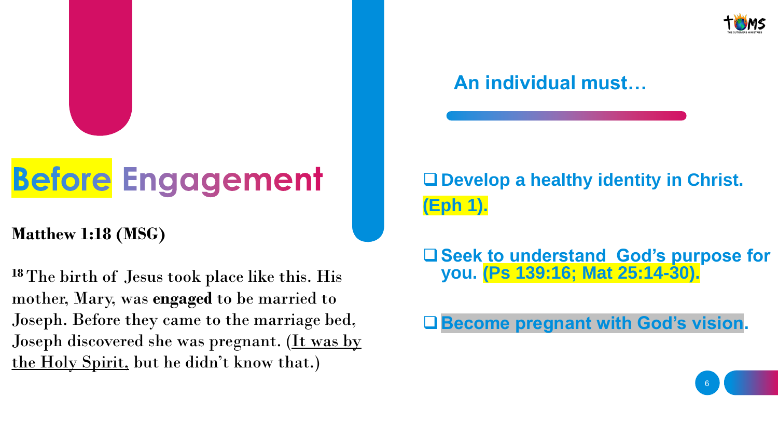# **Before Engagement**

#### **Matthew 1:18 (MSG)**

**<sup>18</sup>** The birth of Jesus took place like this. His mother, Mary, was **engaged** to be married to Joseph. Before they came to the marriage bed, Joseph discovered she was pregnant. (It was by the Holy Spirit, but he didn't know that.)

❑**Develop a healthy identity in Christ. (Eph 1).**

❑**Seek to understand God's purpose for you. (Ps 139:16; Mat 25:14-30).**

❑**Become pregnant with God's vision.**



### **An individual must…**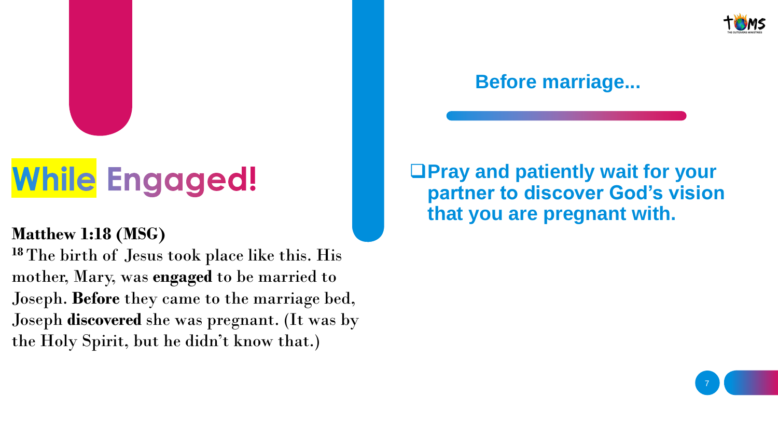# **While Engaged!**

#### **Matthew 1:18 (MSG)**

**<sup>18</sup>** The birth of Jesus took place like this. His mother, Mary, was **engaged** to be married to Joseph. **Before** they came to the marriage bed, Joseph **discovered** she was pregnant. (It was by the Holy Spirit, but he didn't know that.)

❑**Pray and patiently wait for your partner to discover God's vision that you are pregnant with.**

### **Before marriage...**



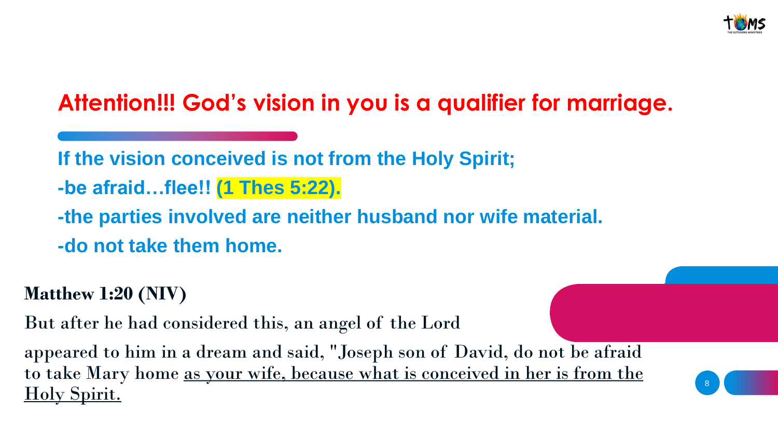

### **Attention!!! God's vision in you is a qualifier for marriage.**

**If the vision conceived is not from the Holy Spirit; -be afraid…flee!! (1 Thes 5:22).**

**-the parties involved are neither husband nor wife material. -do not take them home.**

### **Matthew 1:20 (NIV)**

But after he had considered this, an angel of the Lord

appeared to him in a dream and said, "Joseph son of David, do not be afraid to take Mary home as your wife, because what is conceived in her is from the Holy Spirit.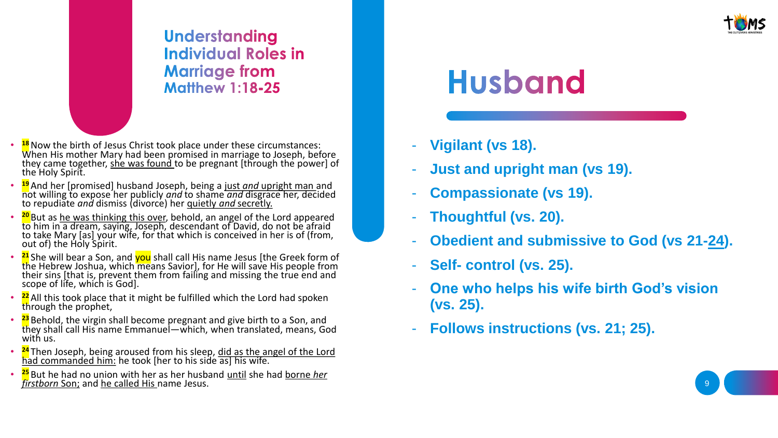

**Understanding Individual Roles in Marriage from Matthew 1:18-25** 

- **<sup>18</sup> Now the birth of Jesus Christ took place under these circumstances:** When His mother Mary had been promised in marriage to Joseph, before they came together, she was found to be pregnant [through the power] of the Holy Spirit.
- **<sup>19</sup>** And her [promised] husband Joseph, being a just *and* upright man and not willing to expose her publicly *and* to shame *and* disgrace her, decided to repudiate *and* dismiss (divorce) her quietly *and* secretly.
- **<sup>20</sup>** But as he was thinking this over, behold, an angel of the Lord appeared to him in a dream, saying, Joseph, descendant of David, do not be afraid to take Mary [as] your wife, for that which is conceived in her is of (from, out of) the Holy Spirit.
- **<sup>21</sup>** She will bear a Son, and you shall call His name Jesus [the Greek form of the Hebrew Joshua, which means Savior], for He will save His people from their sins [that is, prevent them from failing and missing the true end and scope of life, which is God].
- **<sup>22</sup>** All this took place that it might be fulfilled which the Lord had spoken through the prophet.
- **<sup>23</sup>** Behold, the virgin shall become pregnant and give birth to a Son, and they shall call His name Emmanuel—which, when translated, means, God with us.
- <sup>24</sup> Then Joseph, being aroused from his sleep, did as the angel of the Lord had commanded him: he took [her to his side as] his wife.
- **<sup>25</sup>** But he had no union with her as her husband until she had borne *her firstborn* Son; and he called His name Jesus.

## **Husband**

- **Vigilant (vs 18).**
- **Just and upright man (vs 19).**
- **Compassionate (vs 19).**
- **Thoughtful (vs. 20).**
- **Obedient and submissive to God (vs 21-24).**
- **Self- control (vs. 25).**
- **One who helps his wife birth God's vision (vs. 25).**
- **Follows instructions (vs. 21; 25).**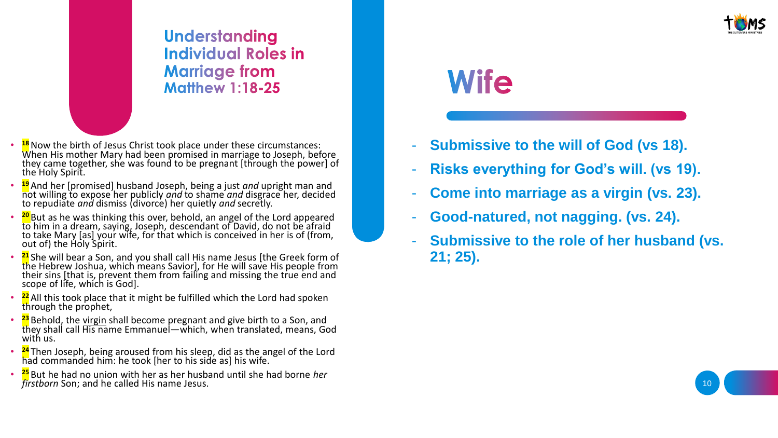

**Understanding Individual Roles in Marriage from Matthew 1:18-25** 

- **<sup>18</sup> Now the birth of Jesus Christ took place under these circumstances:** When His mother Mary had been promised in marriage to Joseph, before they came together, she was found to be pregnant [through the power] of the Holy Spirit.
- **<sup>19</sup>** And her [promised] husband Joseph, being a just *and* upright man and not willing to expose her publicly *and* to shame *and* disgrace her, decided to repudiate *and* dismiss (divorce) her quietly *and* secretly.
- **<sup>20</sup>** But as he was thinking this over, behold, an angel of the Lord appeared to him in a dream, saying, Joseph, descendant of David, do not be afraid to take Mary [as] your wife, for that which is conceived in her is of (from, out of) the Holy Spirit.
- **<sup>21</sup>** She will bear a Son, and you shall call His name Jesus [the Greek form of the Hebrew Joshua, which means Savior], for He will save His people from their sins [that is, prevent them from failing and missing the true end and scope of life, which is God].
- **<sup>22</sup>** All this took place that it might be fulfilled which the Lord had spoken through the prophet.
- <sup>23</sup> Behold, the virgin shall become pregnant and give birth to a Son, and they shall call His name Emmanuel—which, when translated, means, God with us.
- **<sup>24</sup>** Then Joseph, being aroused from his sleep, did as the angel of the Lord had commanded him: he took [her to his side as] his wife.
- **<sup>25</sup>** But he had no union with her as her husband until she had borne *her firstborn* Son; and he called His name Jesus.

### **Wife**

- **Submissive to the will of God (vs 18).**
- **Risks everything for God's will. (vs 19).**
- **Come into marriage as a virgin (vs. 23).**
- **Good-natured, not nagging. (vs. 24).**
- **Submissive to the role of her husband (vs. 21; 25).**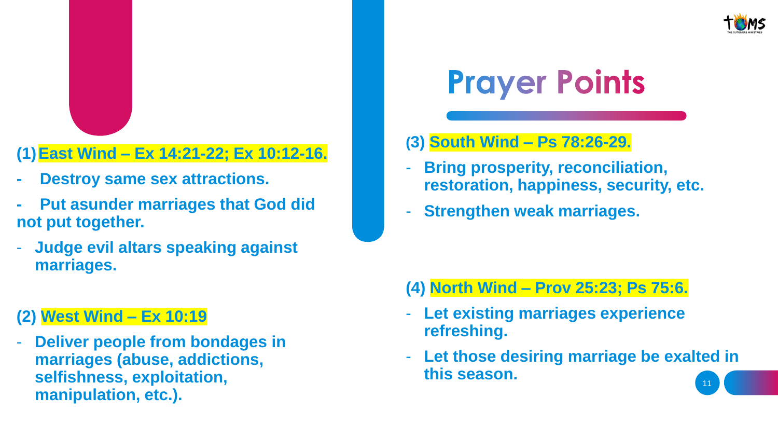

#### **(1)East Wind – Ex 14:21-22; Ex 10:12-16.**

- **- Destroy same sex attractions.**
- **- Put asunder marriages that God did not put together.**
- **Judge evil altars speaking against marriages.**

#### **(2) West Wind – Ex 10:19**

- **Deliver people from bondages in marriages (abuse, addictions, selfishness, exploitation, manipulation, etc.).**

# **Prayer Points**

### **(3) South Wind – Ps 78:26-29.**

- **Bring prosperity, reconciliation, restoration, happiness, security, etc.**
- **Strengthen weak marriages.**

#### **(4) North Wind – Prov 25:23; Ps 75:6.**

- **Let existing marriages experience refreshing.**
- 11 - **Let those desiring marriage be exalted in this season.**